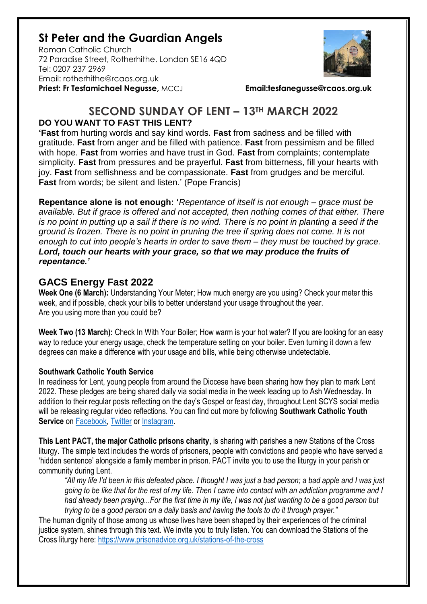# **St Peter and the Guardian Angels**

Roman Catholic Church 72 Paradise Street, Rotherhithe. London SE16 4QD [Tel: 0207](tel:0207) 237 2969 Email: rotherhithe@rcaos.org.uk **Priest: Fr Tesfamichael Negusse,** MCCJ **Email:tesfanegusse@rcaos.org.uk**



## **SECOND SUNDAY OF LENT – 13TH MARCH 2022 DO YOU WANT TO FAST THIS LENT?**

**'Fast** from hurting words and say kind words. **Fast** from sadness and be filled with gratitude. **Fast** from anger and be filled with patience. **Fast** from pessimism and be filled with hope. **Fast** from worries and have trust in God. **Fast** from complaints; contemplate simplicity. **Fast** from pressures and be prayerful. **Fast** from bitterness, fill your hearts with joy. **Fast** from selfishness and be compassionate. **Fast** from grudges and be merciful. **Fast** from words; be silent and listen.' (Pope Francis)

**Repentance alone is not enough: '***Repentance of itself is not enough – grace must be available. But if grace is offered and not accepted, then nothing comes of that either. There is no point in putting up a sail if there is no wind. There is no point in planting a seed if the ground is frozen. There is no point in pruning the tree if spring does not come. It is not enough to cut into people's hearts in order to save them – they must be touched by grace. Lord, touch our hearts with your grace, so that we may produce the fruits of repentance.'*

### **GACS Energy Fast 2022**

**Week One (6 March):** Understanding Your Meter; How much energy are you using? Check your meter this week, and if possible, check your bills to better understand your usage throughout the year. Are you using more than you could be?

**Week Two (13 March):** Check In With Your Boiler; How warm is your hot water? If you are looking for an easy way to reduce your energy usage, check the temperature setting on your boiler. Even turning it down a few degrees can make a difference with your usage and bills, while being otherwise undetectable.

#### **Southwark Catholic Youth Service**

In readiness for Lent, young people from around the Diocese have been sharing how they plan to mark Lent 2022. These pledges are being shared daily via social media in the week leading up to Ash Wednesday. In addition to their regular posts reflecting on the day's Gospel or feast day, throughout Lent SCYS social media will be releasing regular video reflections. You can find out more by following **Southwark Catholic Youth Service** on [Facebook,](https://www.facebook.com/scys.uk) [Twitter](https://twitter.com/SCYS1) or [Instagram.](https://www.instagram.com/scys1/)

**This Lent PACT, the major Catholic prisons charity**, is sharing with parishes a new Stations of the Cross liturgy. The simple text includes the words of prisoners, people with convictions and people who have served a 'hidden sentence' alongside a family member in prison. PACT invite you to use the liturgy in your parish or community during Lent.

*"All my life I'd been in this defeated place. I thought I was just a bad person; a bad apple and I was just going to be like that for the rest of my life. Then I came into contact with an addiction programme and I had already been praying...For the first time in my life, I was not just wanting to be a good person but trying to be a good person on a daily basis and having the tools to do it through prayer."*

The human dignity of those among us whose lives have been shaped by their experiences of the criminal justice system, shines through this text. We invite you to truly listen. You can download the Stations of the Cross liturgy here:<https://www.prisonadvice.org.uk/stations-of-the-cross>